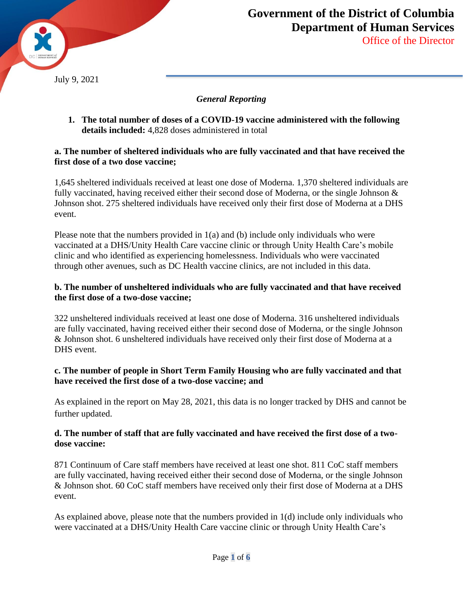

## *General Reporting*

**1. The total number of doses of a COVID-19 vaccine administered with the following details included:** 4,828 doses administered in total

#### **a. The number of sheltered individuals who are fully vaccinated and that have received the first dose of a two dose vaccine;**

1,645 sheltered individuals received at least one dose of Moderna. 1,370 sheltered individuals are fully vaccinated, having received either their second dose of Moderna, or the single Johnson & Johnson shot. 275 sheltered individuals have received only their first dose of Moderna at a DHS event.

Please note that the numbers provided in 1(a) and (b) include only individuals who were vaccinated at a DHS/Unity Health Care vaccine clinic or through Unity Health Care's mobile clinic and who identified as experiencing homelessness. Individuals who were vaccinated through other avenues, such as DC Health vaccine clinics, are not included in this data.

#### **b. The number of unsheltered individuals who are fully vaccinated and that have received the first dose of a two-dose vaccine;**

322 unsheltered individuals received at least one dose of Moderna. 316 unsheltered individuals are fully vaccinated, having received either their second dose of Moderna, or the single Johnson & Johnson shot. 6 unsheltered individuals have received only their first dose of Moderna at a DHS event.

## **c. The number of people in Short Term Family Housing who are fully vaccinated and that have received the first dose of a two-dose vaccine; and**

As explained in the report on May 28, 2021, this data is no longer tracked by DHS and cannot be further updated.

## **d. The number of staff that are fully vaccinated and have received the first dose of a twodose vaccine:**

871 Continuum of Care staff members have received at least one shot. 811 CoC staff members are fully vaccinated, having received either their second dose of Moderna, or the single Johnson & Johnson shot. 60 CoC staff members have received only their first dose of Moderna at a DHS event.

As explained above, please note that the numbers provided in 1(d) include only individuals who were vaccinated at a DHS/Unity Health Care vaccine clinic or through Unity Health Care's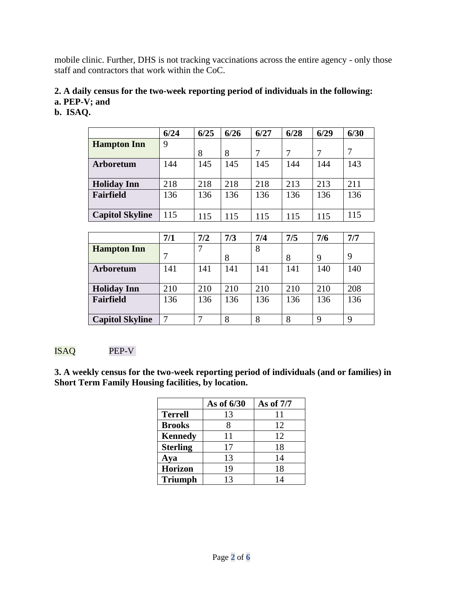mobile clinic. Further, DHS is not tracking vaccinations across the entire agency - only those staff and contractors that work within the CoC.

#### **2. A daily census for the two-week reporting period of individuals in the following: a. PEP-V; and**

## **b. ISAQ.**

|                        | 6/24 | 6/25 | 6/26 | 6/27 | 6/28 | 6/29 | 6/30 |
|------------------------|------|------|------|------|------|------|------|
| <b>Hampton Inn</b>     | 9    |      |      |      |      |      |      |
|                        |      | 8    | 8    | 7    | 7    |      |      |
| <b>Arboretum</b>       | 144  | 145  | 145  | 145  | 144  | 144  | 143  |
|                        |      |      |      |      |      |      |      |
| <b>Holiday Inn</b>     | 218  | 218  | 218  | 218  | 213  | 213  | 211  |
| Fairfield              | 136  | 136  | 136  | 136  | 136  | 136  | 136  |
|                        |      |      |      |      |      |      |      |
| <b>Capitol Skyline</b> | 115  | 115  | 115  | 115  | 115  | 115  | 115  |
|                        |      |      |      |      |      |      |      |

|                        | 7/1 | 7/2 | 7/3 | 7/4 | 7/5 | 7/6 | 7/7 |
|------------------------|-----|-----|-----|-----|-----|-----|-----|
| <b>Hampton Inn</b>     |     |     | 8   | 8   | 8   | 9   | 9   |
| <b>Arboretum</b>       | 141 | 141 | 141 | 141 | 141 | 140 | 140 |
| <b>Holiday Inn</b>     | 210 | 210 | 210 | 210 | 210 | 210 | 208 |
| Fairfield              | 136 | 136 | 136 | 136 | 136 | 136 | 136 |
| <b>Capitol Skyline</b> |     |     | 8   | 8   | 8   | q   | 9   |

## ISAQ PEP-V

**3. A weekly census for the two-week reporting period of individuals (and or families) in Short Term Family Housing facilities, by location.** 

|                 | As of 6/30 | As of 7/7 |
|-----------------|------------|-----------|
| <b>Terrell</b>  | 13         | 11        |
| <b>Brooks</b>   |            | 12        |
| <b>Kennedy</b>  | 11         | 12        |
| <b>Sterling</b> | 17         | 18        |
| Aya             | 13         | 14        |
| <b>Horizon</b>  | 19         | 18        |
| <b>Triumph</b>  | 13         | 14        |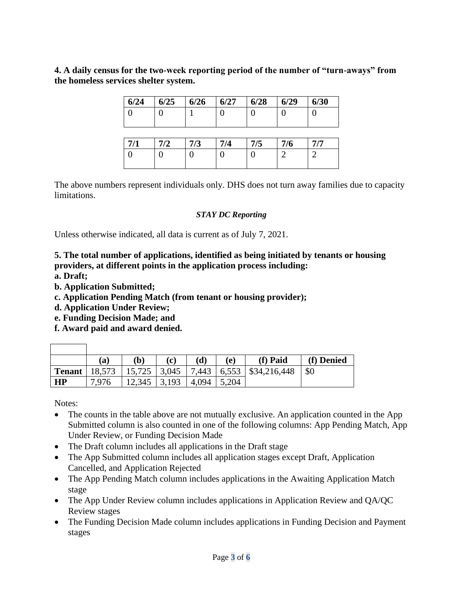**4. A daily census for the two-week reporting period of the number of "turn-aways" from the homeless services shelter system.** 

| 6/24 | 6/25 | 6/26 | 6/27 | 6/28 | 6/29 | 6/30 |
|------|------|------|------|------|------|------|
|      |      |      |      |      |      |      |
|      |      |      |      |      |      |      |

| 7/1 | 7/2 | 7/3 | $\sqrt{7/4}$ | 7/5 | 7/6 | 7/7 |
|-----|-----|-----|--------------|-----|-----|-----|
|     |     |     |              |     |     |     |
|     |     |     |              |     |     |     |

The above numbers represent individuals only. DHS does not turn away families due to capacity limitations.

#### *STAY DC Reporting*

Unless otherwise indicated, all data is current as of July 7, 2021.

**5. The total number of applications, identified as being initiated by tenants or housing providers, at different points in the application process including:** 

**a. Draft;** 

- **b. Application Submitted;**
- **c. Application Pending Match (from tenant or housing provider);**
- **d. Application Under Review;**
- **e. Funding Decision Made; and**
- **f. Award paid and award denied.**

|    | (a)   | $\mathbf{(b)}$ | (c) | (d)         | (e) | (f) Paid                                                               | (f) Denied  |
|----|-------|----------------|-----|-------------|-----|------------------------------------------------------------------------|-------------|
|    |       |                |     |             |     | <b>Tenant</b>   18,573   15,725   3,045   7,443   6,553   \$34,216,448 | $\vert$ \$0 |
| HP | 7,976 | $12,345$ 3,193 |     | 4,094 5,204 |     |                                                                        |             |

Notes:

 $\overline{1}$ 

 $\overline{\phantom{0}}$ 

- The counts in the table above are not mutually exclusive. An application counted in the App Submitted column is also counted in one of the following columns: App Pending Match, App Under Review, or Funding Decision Made
- The Draft column includes all applications in the Draft stage
- The App Submitted column includes all application stages except Draft, Application Cancelled, and Application Rejected
- The App Pending Match column includes applications in the Awaiting Application Match stage
- The App Under Review column includes applications in Application Review and QA/QC Review stages
- The Funding Decision Made column includes applications in Funding Decision and Payment stages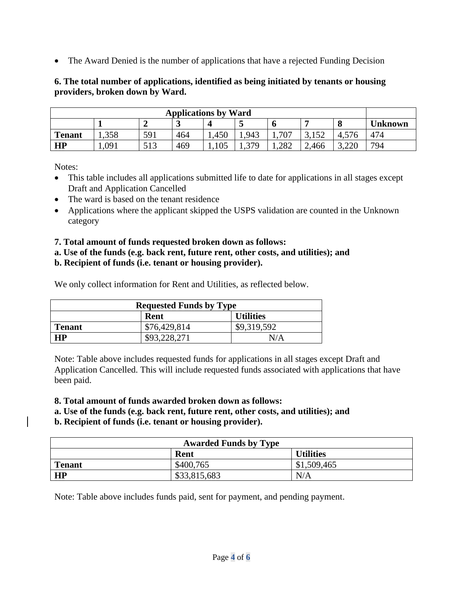• The Award Denied is the number of applications that have a rejected Funding Decision

## **6. The total number of applications, identified as being initiated by tenants or housing providers, broken down by Ward.**

| <b>Applications by Ward</b> |      |     |     |       |             |       |                |       |     |
|-----------------------------|------|-----|-----|-------|-------------|-------|----------------|-------|-----|
|                             |      |     |     |       |             |       | <b>Unknown</b> |       |     |
| <b>Tenant</b>               | .358 | 591 | 464 | 1,450 | ,943        | 707   | 3,152          | 4,576 | 474 |
| HP                          | .091 | 513 | 469 | ,105  | 379<br>1.JI | 1,282 | 2,466          | 3,220 | 794 |

Notes:

- This table includes all applications submitted life to date for applications in all stages except Draft and Application Cancelled
- The ward is based on the tenant residence
- Applications where the applicant skipped the USPS validation are counted in the Unknown category

# **7. Total amount of funds requested broken down as follows:**

**a. Use of the funds (e.g. back rent, future rent, other costs, and utilities); and**

# **b. Recipient of funds (i.e. tenant or housing provider).**

We only collect information for Rent and Utilities, as reflected below.

| <b>Requested Funds by Type</b> |              |             |  |  |
|--------------------------------|--------------|-------------|--|--|
| <b>Utilities</b><br>Rent       |              |             |  |  |
| <b>Tenant</b>                  | \$76,429,814 | \$9,319,592 |  |  |
| НP                             | \$93,228,271 | N/A         |  |  |

Note: Table above includes requested funds for applications in all stages except Draft and Application Cancelled. This will include requested funds associated with applications that have been paid.

**8. Total amount of funds awarded broken down as follows:**

**a. Use of the funds (e.g. back rent, future rent, other costs, and utilities); and** 

# **b. Recipient of funds (i.e. tenant or housing provider).**

| <b>Awarded Funds by Type</b> |              |             |  |  |  |
|------------------------------|--------------|-------------|--|--|--|
| <b>Utilities</b><br>Rent     |              |             |  |  |  |
| <b>Tenant</b>                | \$400,765    | \$1,509,465 |  |  |  |
| HP                           | \$33,815,683 | N/A         |  |  |  |

Note: Table above includes funds paid, sent for payment, and pending payment.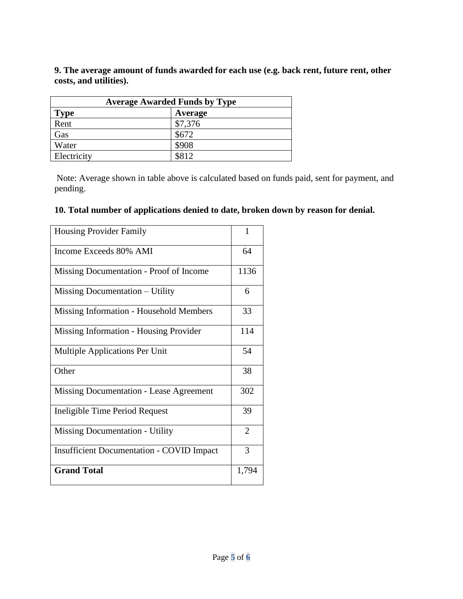**9. The average amount of funds awarded for each use (e.g. back rent, future rent, other costs, and utilities).**

| <b>Average Awarded Funds by Type</b> |         |  |  |  |
|--------------------------------------|---------|--|--|--|
| <b>Type</b>                          | Average |  |  |  |
| Rent                                 | \$7,376 |  |  |  |
| Gas                                  | \$672   |  |  |  |
| Water                                | \$908   |  |  |  |
| Electricity                          | \$812   |  |  |  |

Note: Average shown in table above is calculated based on funds paid, sent for payment, and pending.

# **10. Total number of applications denied to date, broken down by reason for denial.**

| <b>Housing Provider Family</b>                   | 1     |
|--------------------------------------------------|-------|
| Income Exceeds 80% AMI                           | 64    |
| Missing Documentation - Proof of Income          | 1136  |
| Missing Documentation – Utility                  | 6     |
| Missing Information - Household Members          | 33    |
| Missing Information - Housing Provider           | 114   |
| Multiple Applications Per Unit                   | 54    |
| Other                                            | 38    |
| Missing Documentation - Lease Agreement          | 302   |
| Ineligible Time Period Request                   | 39    |
| <b>Missing Documentation - Utility</b>           | 2     |
| <b>Insufficient Documentation - COVID Impact</b> | 3     |
| <b>Grand Total</b>                               | 1,794 |